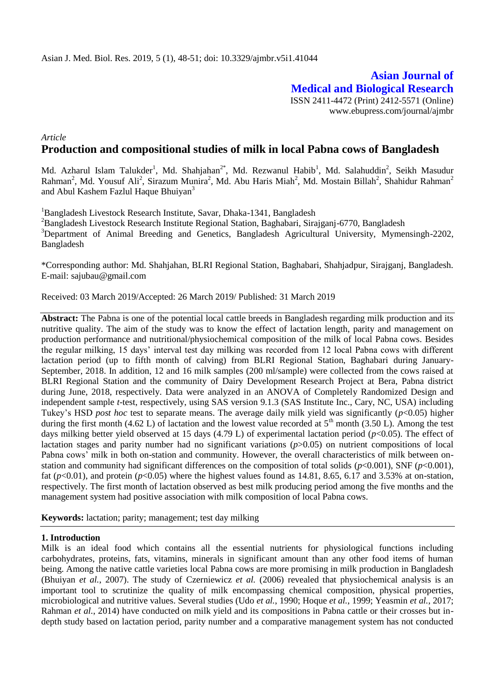**Asian Journal of Medical and Biological Research** ISSN 2411-4472 (Print) 2412-5571 (Online) www.ebupress.com/journal/ajmbr

*Article*

# **Production and compositional studies of milk in local Pabna cows of Bangladesh**

Md. Azharul Islam Talukder<sup>1</sup>, Md. Shahjahan<sup>2\*</sup>, Md. Rezwanul Habib<sup>1</sup>, Md. Salahuddin<sup>2</sup>, Seikh Masudur Rahman<sup>2</sup>, Md. Yousuf Ali<sup>2</sup>, Sirazum Munira<sup>2</sup>, Md. Abu Haris Miah<sup>2</sup>, Md. Mostain Billah<sup>2</sup>, Shahidur Rahman<sup>2</sup> and Abul Kashem Fazlul Haque Bhuiyan<sup>3</sup>

<sup>1</sup>Bangladesh Livestock Research Institute, Savar, Dhaka-1341, Bangladesh <sup>2</sup>Bangladesh Livestock Research Institute Regional Station, Baghabari, Sirajganj-6770, Bangladesh <sup>3</sup>Department of Animal Breeding and Genetics, Bangladesh Agricultural University, Mymensingh-2202, Bangladesh

\*Corresponding author: Md. Shahjahan, BLRI Regional Station, Baghabari, Shahjadpur, Sirajganj, Bangladesh. E-mail: [sajubau@gmail.com](mailto:sajubau@gmail.com)

Received: 03 March 2019/Accepted: 26 March 2019/ Published: 31 March 2019

**Abstract:** The Pabna is one of the potential local cattle breeds in Bangladesh regarding milk production and its nutritive quality. The aim of the study was to know the effect of lactation length, parity and management on production performance and nutritional/physiochemical composition of the milk of local Pabna cows. Besides the regular milking, 15 days' interval test day milking was recorded from 12 local Pabna cows with different lactation period (up to fifth month of calving) from BLRI Regional Station, Baghabari during January-September, 2018. In addition, 12 and 16 milk samples (200 ml/sample) were collected from the cows raised at BLRI Regional Station and the community of Dairy Development Research Project at Bera, Pabna district during June, 2018, respectively. Data were analyzed in an ANOVA of Completely Randomized Design and independent sample *t*-test, respectively, using SAS version 9.1.3 (SAS Institute Inc., Cary, NC, USA) including Tukey's HSD *post hoc* test to separate means. The average daily milk yield was significantly (*p*<0.05) higher during the first month (4.62 L) of lactation and the lowest value recorded at  $5<sup>th</sup>$  month (3.50 L). Among the test days milking better yield observed at 15 days (4.79 L) of experimental lactation period (*p*<0.05). The effect of lactation stages and parity number had no significant variations (*p*>0.05) on nutrient compositions of local Pabna cows' milk in both on-station and community. However, the overall characteristics of milk between onstation and community had significant differences on the composition of total solids ( $p<0.001$ ), SNF ( $p<0.001$ ), fat ( $p<0.01$ ), and protein ( $p<0.05$ ) where the highest values found as 14.81, 8.65, 6.17 and 3.53% at on-station, respectively. The first month of lactation observed as best milk producing period among the five months and the management system had positive association with milk composition of local Pabna cows.

**Keywords:** lactation; parity; management; test day milking

#### **1. Introduction**

Milk is an ideal food which contains all the essential nutrients for physiological functions including carbohydrates, proteins, fats, vitamins, minerals in significant amount than any other food items of human being. Among the native cattle varieties local Pabna cows are more promising in milk production in Bangladesh (Bhuiyan *et al.*, 2007). The study of [Czerniewicz](https://www.researchgate.net/scientific-contributions/85258909_Maria_Czerniewicz?_sg=lWieBQ50oQOGLUp47g_U0sR9ZWd6Ql0LeB9M1Y1GQ_H75S8R4uqJWhLGXzEGNHlbD3gE1Vo.mhBfjb9kkh0LuEsDtpRstAIZ1lWTsIT8q0Pf1ire4F3PGNEod4S2JDEeuMb7JnfmzmulD46Y4sdUz7kaCM9ycA) *et al.* (2006) revealed that physiochemical analysis is an important tool to scrutinize the quality of milk encompassing chemical composition, physical properties, microbiological and nutritive values. Several studies (Udo *et al.*, 1990; Hoque *et al.*, 1999; Yeasmin *et al.*, 2017; Rahman *et al.*, 2014) have conducted on milk yield and its compositions in Pabna cattle or their crosses but indepth study based on lactation period, parity number and a comparative management system has not conducted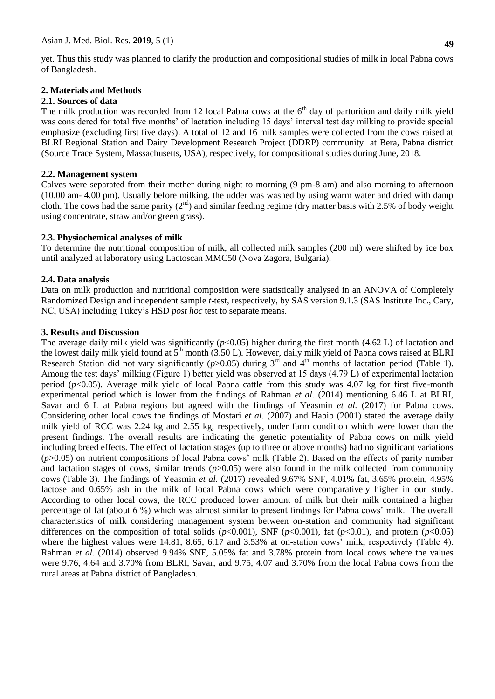yet. Thus this study was planned to clarify the production and compositional studies of milk in local Pabna cows of Bangladesh.

# **2. Materials and Methods**

### **2.1. Sources of data**

The milk production was recorded from 12 local Pabna cows at the  $6<sup>th</sup>$  day of parturition and daily milk yield was considered for total five months' of lactation including 15 days' interval test day milking to provide special emphasize (excluding first five days). A total of 12 and 16 milk samples were collected from the cows raised at BLRI Regional Station and Dairy Development Research Project (DDRP) community at Bera, Pabna district (Source Trace System, Massachusetts, USA), respectively, for compositional studies during June, 2018.

## **2.2. Management system**

Calves were separated from their mother during night to morning (9 pm-8 am) and also morning to afternoon (10.00 am- 4.00 pm). Usually before milking, the udder was washed by using warm water and dried with damp cloth. The cows had the same parity  $(2^{nd})$  and similar feeding regime (dry matter basis with 2.5% of body weight using concentrate, straw and/or green grass).

# **2.3. Physiochemical analyses of milk**

To determine the nutritional composition of milk, all collected milk samples (200 ml) were shifted by ice box until analyzed at laboratory using Lactoscan MMC50 (Nova Zagora, Bulgaria).

# **2.4. Data analysis**

Data on milk production and nutritional composition were statistically analysed in an ANOVA of Completely Randomized Design and independent sample *t*-test, respectively, by SAS version 9.1.3 (SAS Institute Inc., Cary, NC, USA) including Tukey's HSD *post hoc* test to separate means.

# **3. Results and Discussion**

The average daily milk yield was significantly  $(p<0.05)$  higher during the first month (4.62 L) of lactation and the lowest daily milk yield found at  $5<sup>th</sup>$  month (3.50 L). However, daily milk yield of Pabna cows raised at BLRI Research Station did not vary significantly  $(p>0.05)$  during  $3<sup>rd</sup>$  and  $4<sup>th</sup>$  months of lactation period (Table 1). Among the test days' milking (Figure 1) better yield was observed at 15 days (4.79 L) of experimental lactation period (*p*<0.05). Average milk yield of local Pabna cattle from this study was 4.07 kg for first five-month experimental period which is lower from the findings of Rahman *et al.* (2014) mentioning 6.46 L at BLRI, Savar and 6 L at Pabna regions but agreed with the findings of Yeasmin *et al.* (2017) for Pabna cows. Considering other local cows the findings of Mostari *et al.* (2007) and Habib (2001) stated the average daily milk yield of RCC was 2.24 kg and 2.55 kg, respectively, under farm condition which were lower than the present findings. The overall results are indicating the genetic potentiality of Pabna cows on milk yield including breed effects. The effect of lactation stages (up to three or above months) had no significant variations (*p*>0.05) on nutrient compositions of local Pabna cows' milk (Table 2). Based on the effects of parity number and lactation stages of cows, similar trends  $(p>0.05)$  were also found in the milk collected from community cows (Table 3). The findings of Yeasmin *et al.* (2017) revealed 9.67% SNF, 4.01% fat, 3.65% protein, 4.95% lactose and 0.65% ash in the milk of local Pabna cows which were comparatively higher in our study. According to other local cows, the RCC produced lower amount of milk but their milk contained a higher percentage of fat (about 6 %) which was almost similar to present findings for Pabna cows' milk. The overall characteristics of milk considering management system between on-station and community had significant differences on the composition of total solids  $(p<0.001)$ , SNF  $(p<0.001)$ , fat  $(p<0.01)$ , and protein  $(p<0.05)$ where the highest values were 14.81, 8.65, 6.17 and 3.53% at on-station cows' milk, respectively (Table 4). Rahman *et al.* (2014) observed 9.94% SNF, 5.05% fat and 3.78% protein from local cows where the values were 9.76, 4.64 and 3.70% from BLRI, Savar, and 9.75, 4.07 and 3.70% from the local Pabna cows from the rural areas at Pabna district of Bangladesh.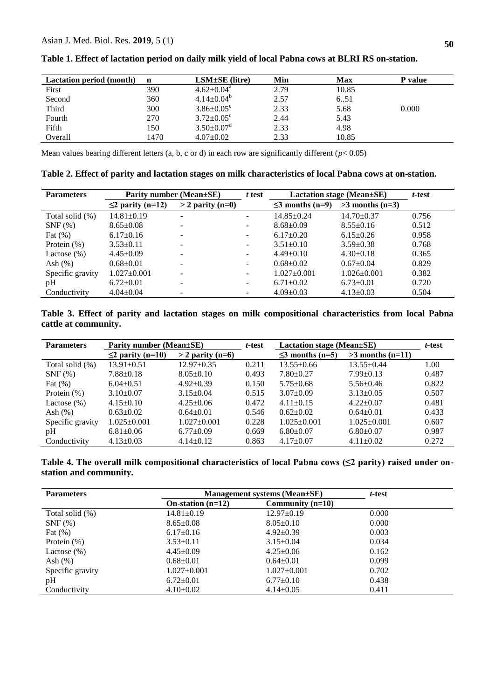| <b>Lactation period (month)</b> | n    | $LSM\pm SE$ (litre)          | Min  | Max   | P value |
|---------------------------------|------|------------------------------|------|-------|---------|
| First                           | 390  | $4.62 \pm 0.04$ <sup>a</sup> | 2.79 | 10.85 |         |
| Second                          | 360  | $4.14 \pm 0.04^b$            | 2.57 | 6.51  |         |
| Third                           | 300  | $3.86 \pm 0.05$ <sup>c</sup> | 2.33 | 5.68  | 0.000   |
| Fourth                          | 270  | $3.72 \pm 0.05^{\circ}$      | 2.44 | 5.43  |         |
| Fifth                           | 150  | $3.50 \pm 0.07$ <sup>d</sup> | 2.33 | 4.98  |         |
| Overall                         | 1470 | $4.07 \pm 0.02$              | 2.33 | 10.85 |         |

**Table 1. Effect of lactation period on daily milk yield of local Pabna cows at BLRI RS on-station.**

Mean values bearing different letters (a, b, c or d) in each row are significantly different ( $p$ < 0.05)

**Table 2. Effect of parity and lactation stages on milk characteristics of local Pabna cows at on-station.**

| <b>Parameters</b> | Parity number (Mean±SE) |                          | t test                   | Lactation stage (Mean $\pm$ SE) |                   | t-test |
|-------------------|-------------------------|--------------------------|--------------------------|---------------------------------|-------------------|--------|
|                   | $\leq$ 2 parity (n=12)  | $>$ 2 parity (n=0)       |                          | $\leq$ months (n=9)             | $>3$ months (n=3) |        |
| Total solid (%)   | $14.81 \pm 0.19$        | $\overline{\phantom{a}}$ | $\overline{\phantom{0}}$ | $14.85 \pm 0.24$                | $14.70 \pm 0.37$  | 0.756  |
| $SNF$ $(\%)$      | $8.65 \pm 0.08$         | ۰                        | ۰                        | $8.68 \pm 0.09$                 | $8.55 \pm 0.16$   | 0.512  |
| Fat $(\%)$        | $6.17 \pm 0.16$         | -                        | Ξ.                       | $6.17 \pm 0.20$                 | $6.15 \pm 0.26$   | 0.958  |
| Protein $(\%)$    | $3.53 \pm 0.11$         | ۰                        | -                        | $3.51 \pm 0.10$                 | $3.59 \pm 0.38$   | 0.768  |
| Lactose $(\%)$    | $4.45 \pm 0.09$         | $\overline{\phantom{a}}$ | $\overline{\phantom{0}}$ | $4.49 \pm 0.10$                 | $4.30\pm0.18$     | 0.365  |
| Ash $(\%)$        | $0.68 \pm 0.01$         | -                        | $\overline{\phantom{0}}$ | $0.68 \pm 0.02$                 | $0.67 \pm 0.04$   | 0.829  |
| Specific gravity  | $1.027 \pm 0.001$       | -                        | $\overline{\phantom{0}}$ | $1.027 \pm 0.001$               | $1.026 \pm 0.001$ | 0.382  |
| pH                | $6.72 \pm 0.01$         | -                        | ۰                        | $6.71 \pm 0.02$                 | $6.73 \pm 0.01$   | 0.720  |
| Conductivity      | $4.04 \pm 0.04$         | $\overline{\phantom{a}}$ | ۰                        | $4.09 \pm 0.03$                 | $4.13 \pm 0.03$   | 0.504  |

**Table 3. Effect of parity and lactation stages on milk compositional characteristics from local Pabna cattle at community.**

| <b>Parameters</b> | Parity number (Mean±SE) |                    | t-test | Lactation stage (Mean $\pm$ SE) |                    | t-test |
|-------------------|-------------------------|--------------------|--------|---------------------------------|--------------------|--------|
|                   | $\leq$ 2 parity (n=10)  | $>$ 2 parity (n=6) |        | $\leq$ 3 months (n=5)           | $>3$ months (n=11) |        |
| Total solid (%)   | $13.91 \pm 0.51$        | $12.97+0.35$       | 0.211  | $13.55 \pm 0.66$                | $13.55+0.44$       | 1.00   |
| $SNF$ $(\%)$      | $7.88 \pm 0.18$         | $8.05 \pm 0.10$    | 0.493  | $7.80 \pm 0.27$                 | $7.99 \pm 0.13$    | 0.487  |
| Fat $(\%)$        | $6.04 \pm 0.51$         | $4.92 \pm 0.39$    | 0.150  | $5.75 \pm 0.68$                 | $5.56 \pm 0.46$    | 0.822  |
| Protein $(\%)$    | $3.10+0.07$             | $3.15 \pm 0.04$    | 0.515  | $3.07 \pm 0.09$                 | $3.13 \pm 0.05$    | 0.507  |
| Lactose $(\%)$    | $4.15 \pm 0.10$         | $4.25 \pm 0.06$    | 0.472  | $4.11 \pm 0.15$                 | $4.22 \pm 0.07$    | 0.481  |
| Ash $(\%)$        | $0.63 \pm 0.02$         | $0.64 \pm 0.01$    | 0.546  | $0.62+0.02$                     | $0.64 \pm 0.01$    | 0.433  |
| Specific gravity  | $1.025 \pm 0.001$       | $1.027 \pm 0.001$  | 0.228  | $1.025 \pm 0.001$               | $1.025 \pm 0.001$  | 0.607  |
| pH                | $6.81 \pm 0.06$         | $6.77 \pm 0.09$    | 0.669  | $6.80 \pm 0.07$                 | $6.80+0.07$        | 0.987  |
| Conductivity      | $4.13 \pm 0.03$         | $4.14 \pm 0.12$    | 0.863  | $4.17 \pm 0.07$                 | $4.11 \pm 0.02$    | 0.272  |

**Table 4. The overall milk compositional characteristics of local Pabna cows (≤2 parity) raised under onstation and community.**

| <b>Parameters</b> | Management systems (Mean±SE) | t-test             |       |  |
|-------------------|------------------------------|--------------------|-------|--|
|                   | On-station $(n=12)$          | Community $(n=10)$ |       |  |
| Total solid (%)   | $14.81 \pm 0.19$             | $12.97 \pm 0.19$   | 0.000 |  |
| $SNF$ $(\%)$      | $8.65 \pm 0.08$              | $8.05 \pm 0.10$    | 0.000 |  |
| Fat $(\%)$        | $6.17\pm0.16$                | $4.92 \pm 0.39$    | 0.003 |  |
| Protein $(\%)$    | $3.53 \pm 0.11$              | $3.15 \pm 0.04$    | 0.034 |  |
| Lactose $(\%)$    | $4.45 \pm 0.09$              | $4.25 \pm 0.06$    | 0.162 |  |
| Ash $(\%)$        | $0.68 \pm 0.01$              | $0.64 \pm 0.01$    | 0.099 |  |
| Specific gravity  | $1.027 \pm 0.001$            | $1.027 \pm 0.001$  | 0.702 |  |
| pH                | $6.72 \pm 0.01$              | $6.77 \pm 0.10$    | 0.438 |  |
| Conductivity      | $4.10\pm0.02$                | $4.14 \pm 0.05$    | 0.411 |  |